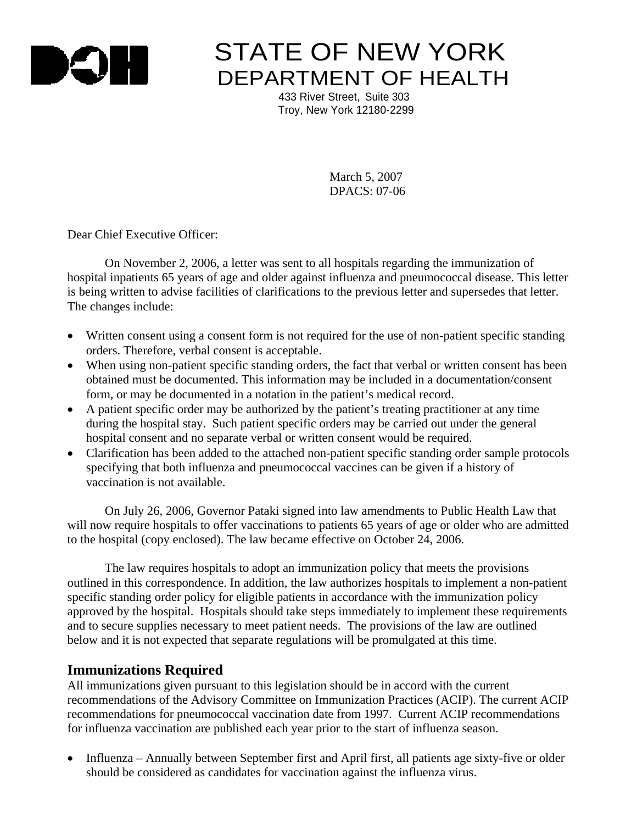

# **STATE OF NEW YORK** DEPARTMENT OF HEALTH

 433 River Street, Suite 303 Troy, New York 12180-2299

> March 5, 2007 DPACS: 07-06

Dear Chief Executive Officer:

On November 2, 2006, a letter was sent to all hospitals regarding the immunization of hospital inpatients 65 years of age and older against influenza and pneumococcal disease. This letter is being written to advise facilities of clarifications to the previous letter and supersedes that letter. The changes include:

- Written consent using a consent form is not required for the use of non-patient specific standing orders. Therefore, verbal consent is acceptable.
- When using non-patient specific standing orders, the fact that verbal or written consent has been obtained must be documented. This information may be included in a documentation/consent form, or may be documented in a notation in the patient's medical record.
- A patient specific order may be authorized by the patient's treating practitioner at any time during the hospital stay. Such patient specific orders may be carried out under the general hospital consent and no separate verbal or written consent would be required.
- Clarification has been added to the attached non-patient specific standing order sample protocols specifying that both influenza and pneumococcal vaccines can be given if a history of vaccination is not available.

On July 26, 2006, Governor Pataki signed into law amendments to Public Health Law that will now require hospitals to offer vaccinations to patients 65 years of age or older who are admitted to the hospital (copy enclosed). The law became effective on October 24, 2006.

 The law requires hospitals to adopt an immunization policy that meets the provisions outlined in this correspondence. In addition, the law authorizes hospitals to implement a non-patient specific standing order policy for eligible patients in accordance with the immunization policy approved by the hospital. Hospitals should take steps immediately to implement these requirements and to secure supplies necessary to meet patient needs. The provisions of the law are outlined below and it is not expected that separate regulations will be promulgated at this time.

#### **Immunizations Required**

All immunizations given pursuant to this legislation should be in accord with the current recommendations of the Advisory Committee on Immunization Practices (ACIP). The current ACIP recommendations for pneumococcal vaccination date from 1997. Current ACIP recommendations for influenza vaccination are published each year prior to the start of influenza season.

• Influenza – Annually between September first and April first, all patients age sixty-five or older should be considered as candidates for vaccination against the influenza virus.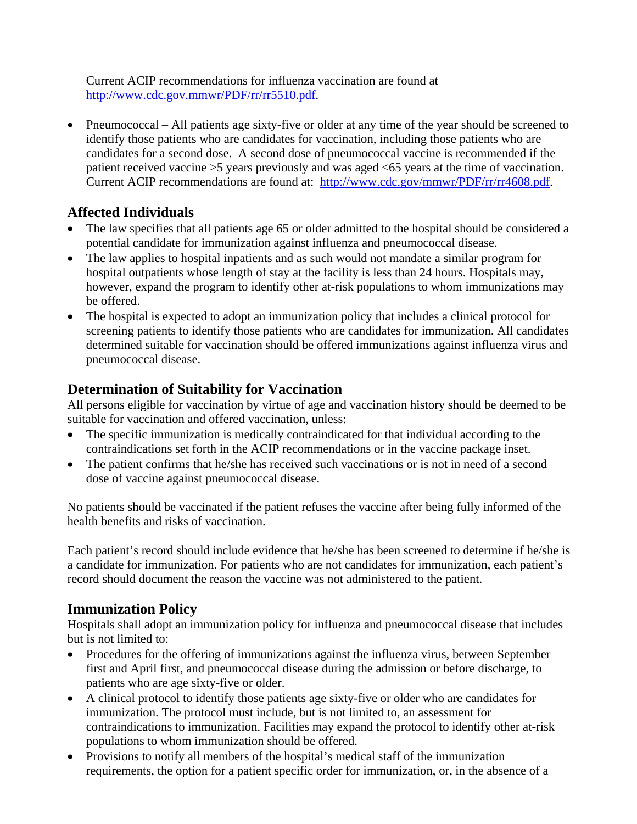Current ACIP recommendations for influenza vaccination are found at http://www.cdc.gov.mmwr/PDF/rr/rr5510.pdf.

• Pneumococcal – All patients age sixty-five or older at any time of the year should be screened to identify those patients who are candidates for vaccination, including those patients who are candidates for a second dose. A second dose of pneumococcal vaccine is recommended if the patient received vaccine >5 years previously and was aged <65 years at the time of vaccination. Current ACIP recommendations are found at: http://www.cdc.gov/mmwr/PDF/rr/rr4608.pdf.

## **Affected Individuals**

- The law specifies that all patients age 65 or older admitted to the hospital should be considered a potential candidate for immunization against influenza and pneumococcal disease.
- The law applies to hospital inpatients and as such would not mandate a similar program for hospital outpatients whose length of stay at the facility is less than 24 hours. Hospitals may, however, expand the program to identify other at-risk populations to whom immunizations may be offered.
- The hospital is expected to adopt an immunization policy that includes a clinical protocol for screening patients to identify those patients who are candidates for immunization. All candidates determined suitable for vaccination should be offered immunizations against influenza virus and pneumococcal disease.

## **Determination of Suitability for Vaccination**

All persons eligible for vaccination by virtue of age and vaccination history should be deemed to be suitable for vaccination and offered vaccination, unless:

- The specific immunization is medically contraindicated for that individual according to the contraindications set forth in the ACIP recommendations or in the vaccine package inset.
- The patient confirms that he/she has received such vaccinations or is not in need of a second dose of vaccine against pneumococcal disease.

No patients should be vaccinated if the patient refuses the vaccine after being fully informed of the health benefits and risks of vaccination.

Each patient's record should include evidence that he/she has been screened to determine if he/she is a candidate for immunization. For patients who are not candidates for immunization, each patient's record should document the reason the vaccine was not administered to the patient.

### **Immunization Policy**

Hospitals shall adopt an immunization policy for influenza and pneumococcal disease that includes but is not limited to:

- Procedures for the offering of immunizations against the influenza virus, between September first and April first, and pneumococcal disease during the admission or before discharge, to patients who are age sixty-five or older.
- A clinical protocol to identify those patients age sixty-five or older who are candidates for immunization. The protocol must include, but is not limited to, an assessment for contraindications to immunization. Facilities may expand the protocol to identify other at-risk populations to whom immunization should be offered.
- Provisions to notify all members of the hospital's medical staff of the immunization requirements, the option for a patient specific order for immunization, or, in the absence of a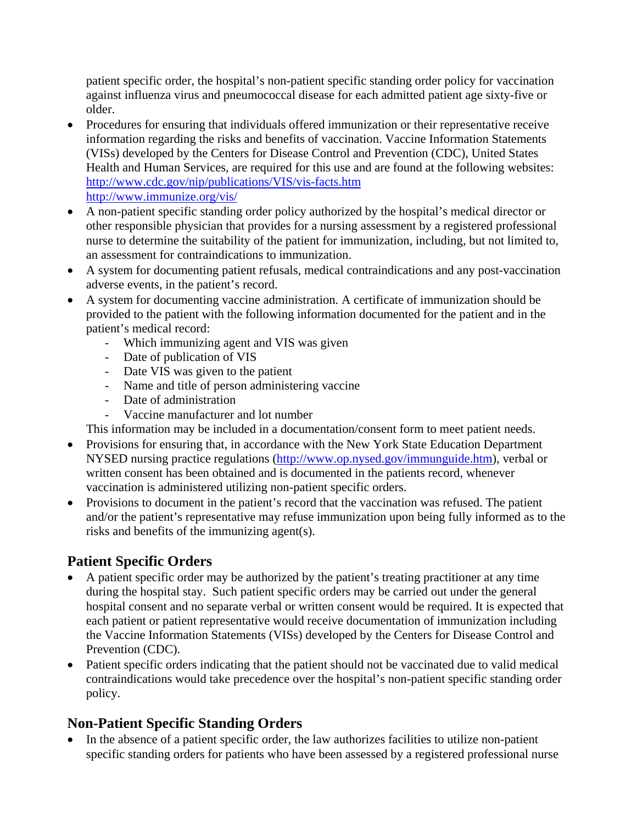patient specific order, the hospital's non-patient specific standing order policy for vaccination against influenza virus and pneumococcal disease for each admitted patient age sixty-five or older.

- Procedures for ensuring that individuals offered immunization or their representative receive information regarding the risks and benefits of vaccination. Vaccine Information Statements (VISs) developed by the Centers for Disease Control and Prevention (CDC), United States Health and Human Services, are required for this use and are found at the following websites: http://www.cdc.gov/nip/publications/VIS/vis-facts.htm http://www.immunize.org/vis/
- A non-patient specific standing order policy authorized by the hospital's medical director or other responsible physician that provides for a nursing assessment by a registered professional nurse to determine the suitability of the patient for immunization, including, but not limited to, an assessment for contraindications to immunization.
- A system for documenting patient refusals, medical contraindications and any post-vaccination adverse events, in the patient's record.
- A system for documenting vaccine administration. A certificate of immunization should be provided to the patient with the following information documented for the patient and in the patient's medical record:
	- Which immunizing agent and VIS was given
	- Date of publication of VIS
	- Date VIS was given to the patient
	- Name and title of person administering vaccine
	- Date of administration
	- Vaccine manufacturer and lot number
	- This information may be included in a documentation/consent form to meet patient needs.
- Provisions for ensuring that, in accordance with the New York State Education Department NYSED nursing practice regulations (http://www.op.nysed.gov/immunguide.htm), verbal or written consent has been obtained and is documented in the patients record, whenever vaccination is administered utilizing non-patient specific orders.
- Provisions to document in the patient's record that the vaccination was refused. The patient and/or the patient's representative may refuse immunization upon being fully informed as to the risks and benefits of the immunizing agent(s).

## **Patient Specific Orders**

- A patient specific order may be authorized by the patient's treating practitioner at any time during the hospital stay. Such patient specific orders may be carried out under the general hospital consent and no separate verbal or written consent would be required. It is expected that each patient or patient representative would receive documentation of immunization including the Vaccine Information Statements (VISs) developed by the Centers for Disease Control and Prevention (CDC).
- Patient specific orders indicating that the patient should not be vaccinated due to valid medical contraindications would take precedence over the hospital's non-patient specific standing order policy.

## **Non-Patient Specific Standing Orders**

• In the absence of a patient specific order, the law authorizes facilities to utilize non-patient specific standing orders for patients who have been assessed by a registered professional nurse